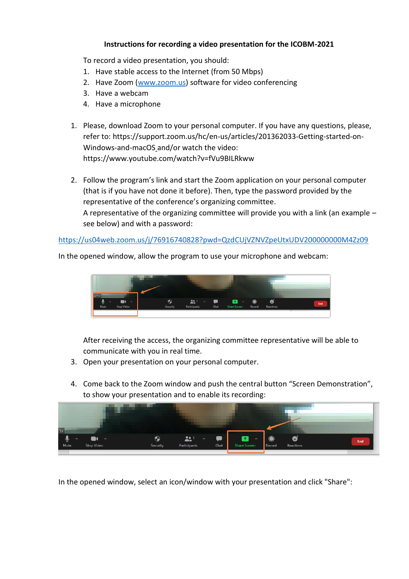## **Instructions for recording a video presentation for the ICOBM-2021**

To record a video presentation, you should:

- 1. Have stable access to the Internet (from 50 Mbps)
- 2. Have Zoom [\(www.zoom.us\)](http://www.zoom.us/) software for video conferencing
- 3. Have a webcam
- 4. Have a microphone
- 1. Please, download Zoom to your personal computer. If you have any questions, please, refer to: https://support.zoom.us/hc/en-us/articles/201362033-Getting-started-on-Windows-and-macOS and/or watch the video: https://www.youtube.com/watch?v=fVu9BILRkww
- 2. Follow the program's link and start the Zoom application on your personal computer (that is if you have not done it before). Then, type the password provided by the representative of the conference's organizing committee. A representative of the organizing committee will provide you with a link (an example – see below) and with a password:

<https://us04web.zoom.us/j/76916740828?pwd=QzdCUjVZNVZpeUtxUDV200000000M4Zz09>



In the opened window, allow the program to use your microphone and webcam:

After receiving the access, the organizing committee representative will be able to communicate with you in real time.

- 3. Open your presentation on your personal computer.
- 4. Come back to the Zoom window and push the central button "Screen Demonstration", to show your presentation and to enable its recording:



In the opened window, select an icon/window with your presentation and click "Share":